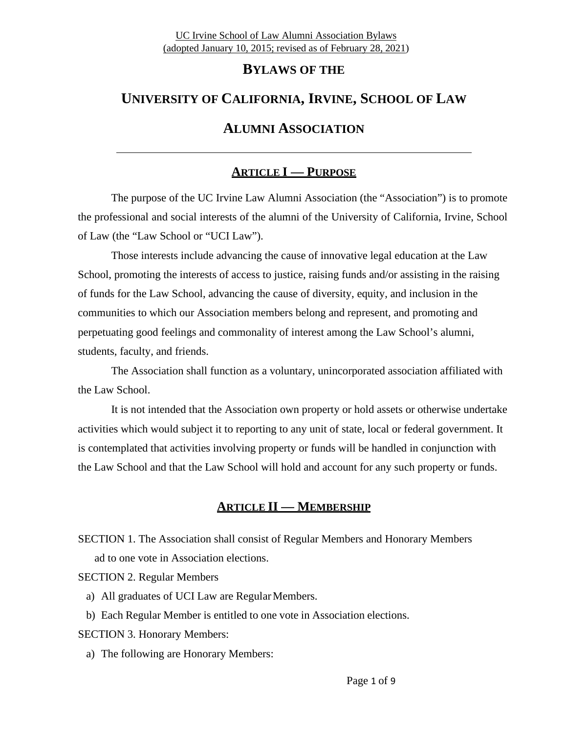# **BYLAWS OF THE**

## **UNIVERSITY OF CALIFORNIA, IRVINE, SCHOOL OF LAW**

# **ALUMNI ASSOCIATION**

# **ARTICLE I — PURPOSE**

The purpose of the UC Irvine Law Alumni Association (the "Association") is to promote the professional and social interests of the alumni of the University of California, Irvine, School of Law (the "Law School or "UCI Law").

Those interests include advancing the cause of innovative legal education at the Law School, promoting the interests of access to justice, raising funds and/or assisting in the raising of funds for the Law School, advancing the cause of diversity, equity, and inclusion in the communities to which our Association members belong and represent, and promoting and perpetuating good feelings and commonality of interest among the Law School's alumni, students, faculty, and friends.

The Association shall function as a voluntary, unincorporated association affiliated with the Law School.

It is not intended that the Association own property or hold assets or otherwise undertake activities which would subject it to reporting to any unit of state, local or federal government. It is contemplated that activities involving property or funds will be handled in conjunction with the Law School and that the Law School will hold and account for any such property or funds.

# **ARTICLE II — MEMBERSHIP**

SECTION 1. The Association shall consist of Regular Members and Honorary Members ad to one vote in Association elections.

SECTION 2. Regular Members

- a) All graduates of UCI Law are Regular Members.
- b) Each Regular Member is entitled to one vote in Association elections.

SECTION 3. Honorary Members:

a) The following are Honorary Members: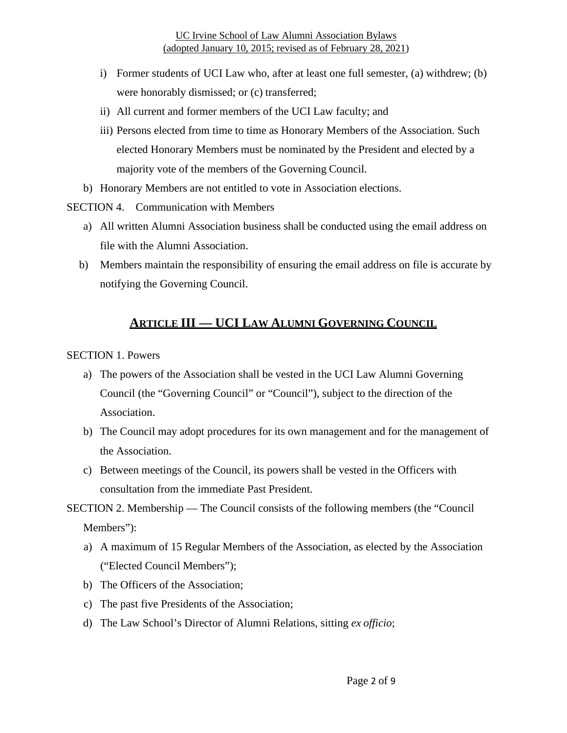- i) Former students of UCI Law who, after at least one full semester, (a) withdrew; (b) were honorably dismissed; or (c) transferred;
- ii) All current and former members of the UCI Law faculty; and
- iii) Persons elected from time to time as Honorary Members of the Association. Such elected Honorary Members must be nominated by the President and elected by a majority vote of the members of the Governing Council.
- b) Honorary Members are not entitled to vote in Association elections.

SECTION 4. Communication with Members

- a) All written Alumni Association business shall be conducted using the email address on file with the Alumni Association.
- b) Members maintain the responsibility of ensuring the email address on file is accurate by notifying the Governing Council.

# **ARTICLE III — UCI LAW ALUMNI GOVERNING COUNCIL**

SECTION 1. Powers

- a) The powers of the Association shall be vested in the UCI Law Alumni Governing Council (the "Governing Council" or "Council"), subject to the direction of the Association.
- b) The Council may adopt procedures for its own management and for the management of the Association.
- c) Between meetings of the Council, its powers shall be vested in the Officers with consultation from the immediate Past President.
- SECTION 2. Membership The Council consists of the following members (the "Council Members"):
	- a) A maximum of 15 Regular Members of the Association, as elected by the Association ("Elected Council Members");
	- b) The Officers of the Association;
	- c) The past five Presidents of the Association;
	- d) The Law School's Director of Alumni Relations, sitting *ex officio*;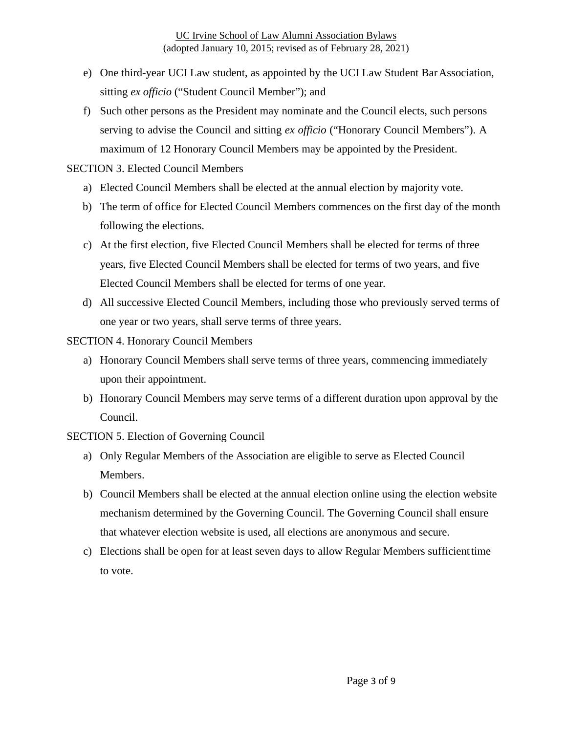- e) One third-year UCI Law student, as appointed by the UCI Law Student Bar Association, sitting *ex officio* ("Student Council Member"); and
- f) Such other persons as the President may nominate and the Council elects, such persons serving to advise the Council and sitting *ex officio* ("Honorary Council Members"). A maximum of 12 Honorary Council Members may be appointed by the President.

### SECTION 3. Elected Council Members

- a) Elected Council Members shall be elected at the annual election by majority vote.
- b) The term of office for Elected Council Members commences on the first day of the month following the elections.
- c) At the first election, five Elected Council Members shall be elected for terms of three years, five Elected Council Members shall be elected for terms of two years, and five Elected Council Members shall be elected for terms of one year.
- d) All successive Elected Council Members, including those who previously served terms of one year or two years, shall serve terms of three years.

### SECTION 4. Honorary Council Members

- a) Honorary Council Members shall serve terms of three years, commencing immediately upon their appointment.
- b) Honorary Council Members may serve terms of a different duration upon approval by the Council.

### SECTION 5. Election of Governing Council

- a) Only Regular Members of the Association are eligible to serve as Elected Council Members.
- b) Council Members shall be elected at the annual election online using the election website mechanism determined by the Governing Council. The Governing Council shall ensure that whatever election website is used, all elections are anonymous and secure.
- c) Elections shall be open for at least seven days to allow Regular Members sufficient time to vote.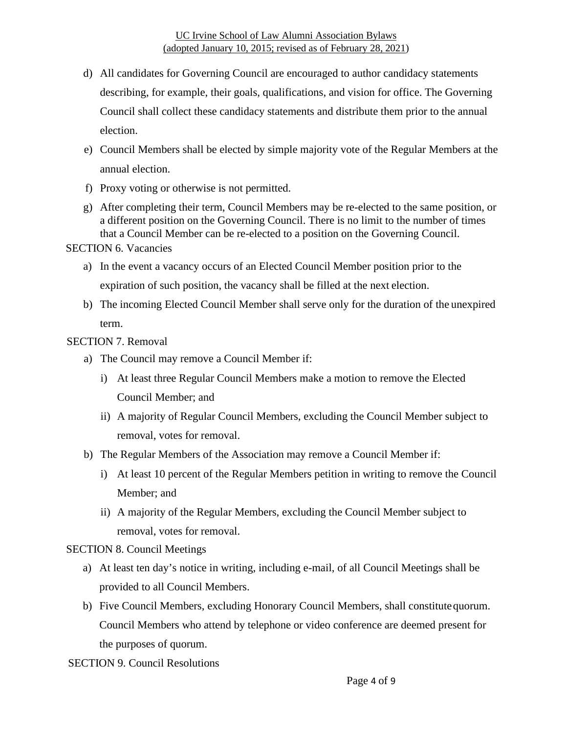- d) All candidates for Governing Council are encouraged to author candidacy statements describing, for example, their goals, qualifications, and vision for office. The Governing Council shall collect these candidacy statements and distribute them prior to the annual election.
- e) Council Members shall be elected by simple majority vote of the Regular Members at the annual election.
- f) Proxy voting or otherwise is not permitted.
- g) After completing their term, Council Members may be re-elected to the same position, or a different position on the Governing Council. There is no limit to the number of times that a Council Member can be re-elected to a position on the Governing Council.

SECTION 6. Vacancies

- a) In the event a vacancy occurs of an Elected Council Member position prior to the expiration of such position, the vacancy shall be filled at the next election.
- b) The incoming Elected Council Member shall serve only for the duration of the unexpired term.

### SECTION 7. Removal

- a) The Council may remove a Council Member if:
	- i) At least three Regular Council Members make a motion to remove the Elected Council Member; and
	- ii) A majority of Regular Council Members, excluding the Council Member subject to removal, votes for removal.
- b) The Regular Members of the Association may remove a Council Member if:
	- i) At least 10 percent of the Regular Members petition in writing to remove the Council Member; and
	- ii) A majority of the Regular Members, excluding the Council Member subject to removal, votes for removal.

#### SECTION 8. Council Meetings

- a) At least ten day's notice in writing, including e-mail, of all Council Meetings shall be provided to all Council Members.
- b) Five Council Members, excluding Honorary Council Members, shall constitute quorum. Council Members who attend by telephone or video conference are deemed present for the purposes of quorum.
- SECTION 9. Council Resolutions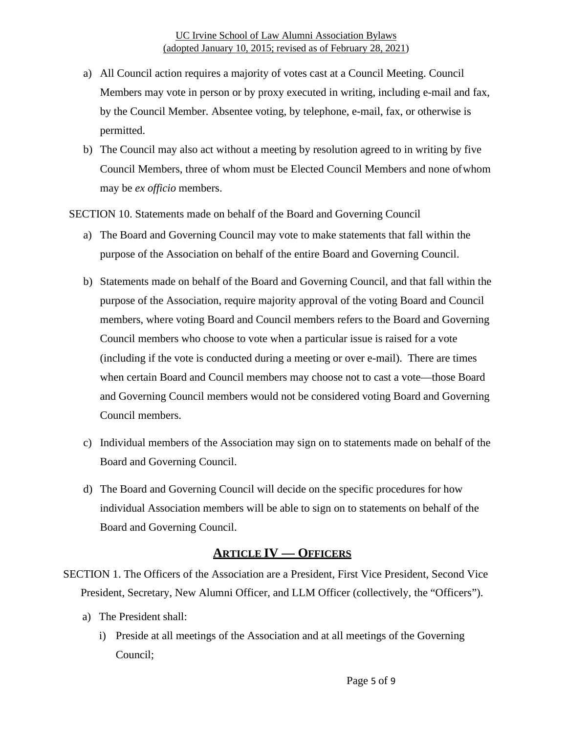- a) All Council action requires a majority of votes cast at a Council Meeting. Council Members may vote in person or by proxy executed in writing, including e-mail and fax, by the Council Member. Absentee voting, by telephone, e-mail, fax, or otherwise is permitted.
- b) The Council may also act without a meeting by resolution agreed to in writing by five Council Members, three of whom must be Elected Council Members and none of whom may be *ex officio* members.
- SECTION 10. Statements made on behalf of the Board and Governing Council
	- a) The Board and Governing Council may vote to make statements that fall within the purpose of the Association on behalf of the entire Board and Governing Council.
	- b) Statements made on behalf of the Board and Governing Council, and that fall within the purpose of the Association, require majority approval of the voting Board and Council members, where voting Board and Council members refers to the Board and Governing Council members who choose to vote when a particular issue is raised for a vote (including if the vote is conducted during a meeting or over e-mail). There are times when certain Board and Council members may choose not to cast a vote—those Board and Governing Council members would not be considered voting Board and Governing Council members.
	- c) Individual members of the Association may sign on to statements made on behalf of the Board and Governing Council.
	- d) The Board and Governing Council will decide on the specific procedures for how individual Association members will be able to sign on to statements on behalf of the Board and Governing Council.

### **ARTICLE IV — OFFICERS**

- SECTION 1. The Officers of the Association are a President, First Vice President, Second Vice President, Secretary, New Alumni Officer, and LLM Officer (collectively, the "Officers").
	- a) The President shall:
		- i) Preside at all meetings of the Association and at all meetings of the Governing Council;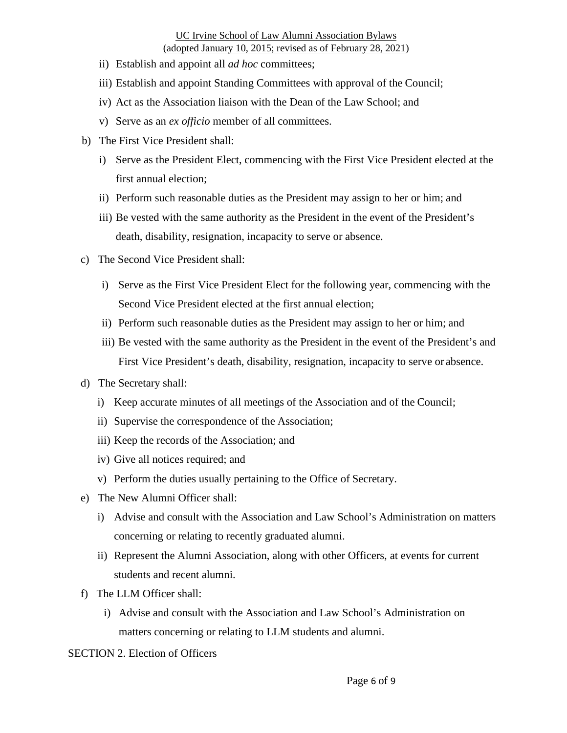- ii) Establish and appoint all *ad hoc* committees;
- iii) Establish and appoint Standing Committees with approval of the Council;
- iv) Act as the Association liaison with the Dean of the Law School; and
- v) Serve as an *ex officio* member of all committees.
- b) The First Vice President shall:
	- i) Serve as the President Elect, commencing with the First Vice President elected at the first annual election;
	- ii) Perform such reasonable duties as the President may assign to her or him; and
	- iii) Be vested with the same authority as the President in the event of the President's death, disability, resignation, incapacity to serve or absence.
- c) The Second Vice President shall:
	- i) Serve as the First Vice President Elect for the following year, commencing with the Second Vice President elected at the first annual election;
	- ii) Perform such reasonable duties as the President may assign to her or him; and
	- iii) Be vested with the same authority as the President in the event of the President's and First Vice President's death, disability, resignation, incapacity to serve or absence.
- d) The Secretary shall:
	- i) Keep accurate minutes of all meetings of the Association and of the Council;
	- ii) Supervise the correspondence of the Association;
	- iii) Keep the records of the Association; and
	- iv) Give all notices required; and
	- v) Perform the duties usually pertaining to the Office of Secretary.
- e) The New Alumni Officer shall:
	- i) Advise and consult with the Association and Law School's Administration on matters concerning or relating to recently graduated alumni.
	- ii) Represent the Alumni Association, along with other Officers, at events for current students and recent alumni.
- f) The LLM Officer shall:
	- i) Advise and consult with the Association and Law School's Administration on matters concerning or relating to LLM students and alumni.

SECTION 2. Election of Officers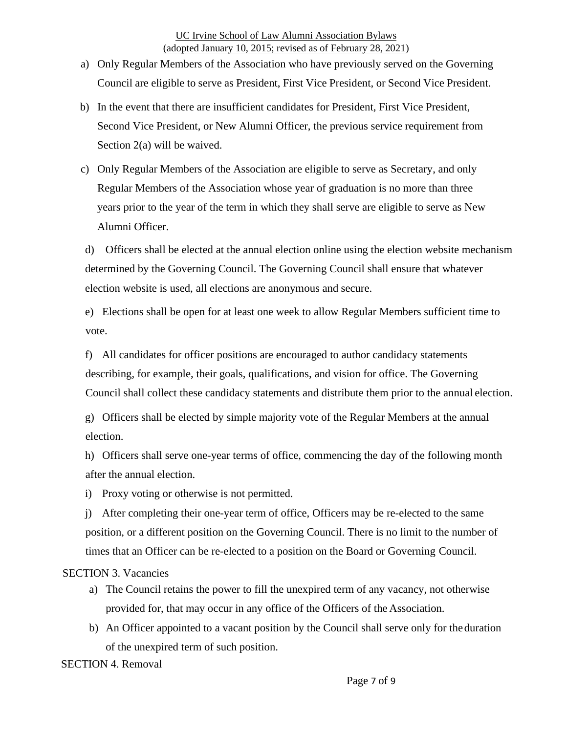- a) Only Regular Members of the Association who have previously served on the Governing Council are eligible to serve as President, First Vice President, or Second Vice President.
- b) In the event that there are insufficient candidates for President, First Vice President, Second Vice President, or New Alumni Officer, the previous service requirement from Section 2(a) will be waived.
- c) Only Regular Members of the Association are eligible to serve as Secretary, and only Regular Members of the Association whose year of graduation is no more than three years prior to the year of the term in which they shall serve are eligible to serve as New Alumni Officer.

d) Officers shall be elected at the annual election online using the election website mechanism determined by the Governing Council. The Governing Council shall ensure that whatever election website is used, all elections are anonymous and secure.

e) Elections shall be open for at least one week to allow Regular Members sufficient time to vote.

f) All candidates for officer positions are encouraged to author candidacy statements describing, for example, their goals, qualifications, and vision for office. The Governing Council shall collect these candidacy statements and distribute them prior to the annual election.

g) Officers shall be elected by simple majority vote of the Regular Members at the annual election.

h) Officers shall serve one-year terms of office, commencing the day of the following month after the annual election.

i) Proxy voting or otherwise is not permitted.

j) After completing their one-year term of office, Officers may be re-elected to the same position, or a different position on the Governing Council. There is no limit to the number of times that an Officer can be re-elected to a position on the Board or Governing Council.

#### SECTION 3. Vacancies

- a) The Council retains the power to fill the unexpired term of any vacancy, not otherwise provided for, that may occur in any office of the Officers of the Association.
- b) An Officer appointed to a vacant position by the Council shall serve only for the duration of the unexpired term of such position.

SECTION 4. Removal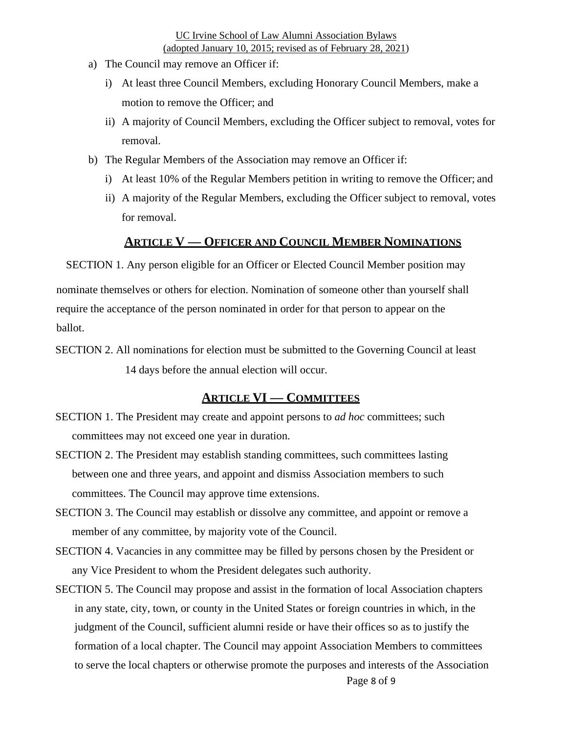- a) The Council may remove an Officer if:
	- i) At least three Council Members, excluding Honorary Council Members, make a motion to remove the Officer; and
	- ii) A majority of Council Members, excluding the Officer subject to removal, votes for removal.
- b) The Regular Members of the Association may remove an Officer if:
	- i) At least 10% of the Regular Members petition in writing to remove the Officer; and
	- ii) A majority of the Regular Members, excluding the Officer subject to removal, votes for removal.

### **ARTICLE V — OFFICER AND COUNCIL MEMBER NOMINATIONS**

SECTION 1. Any person eligible for an Officer or Elected Council Member position may

nominate themselves or others for election. Nomination of someone other than yourself shall require the acceptance of the person nominated in order for that person to appear on the ballot.

SECTION 2. All nominations for election must be submitted to the Governing Council at least 14 days before the annual election will occur.

#### **ARTICLE VI — COMMITTEES**

- SECTION 1. The President may create and appoint persons to *ad hoc* committees; such committees may not exceed one year in duration.
- SECTION 2. The President may establish standing committees, such committees lasting between one and three years, and appoint and dismiss Association members to such committees. The Council may approve time extensions.
- SECTION 3. The Council may establish or dissolve any committee, and appoint or remove a member of any committee, by majority vote of the Council.
- SECTION 4. Vacancies in any committee may be filled by persons chosen by the President or any Vice President to whom the President delegates such authority.
- Page 8 of 9 SECTION 5. The Council may propose and assist in the formation of local Association chapters in any state, city, town, or county in the United States or foreign countries in which, in the judgment of the Council, sufficient alumni reside or have their offices so as to justify the formation of a local chapter. The Council may appoint Association Members to committees to serve the local chapters or otherwise promote the purposes and interests of the Association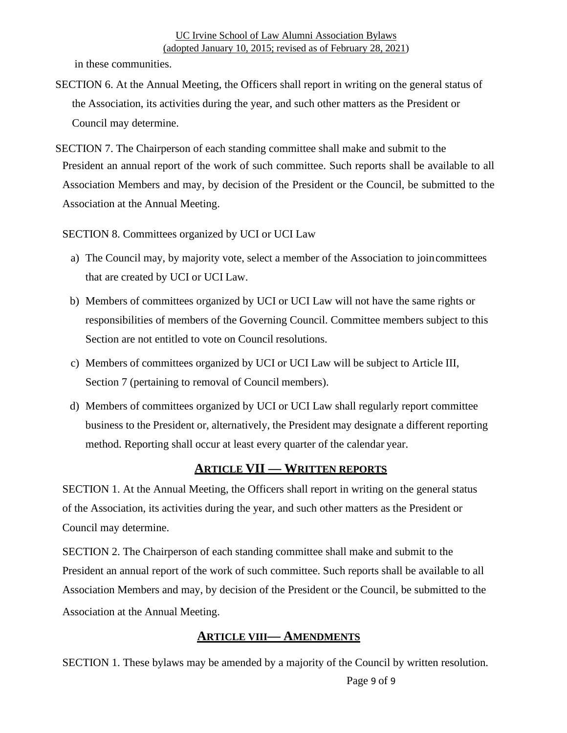in these communities.

- SECTION 6. At the Annual Meeting, the Officers shall report in writing on the general status of the Association, its activities during the year, and such other matters as the President or Council may determine.
- SECTION 7. The Chairperson of each standing committee shall make and submit to the President an annual report of the work of such committee. Such reports shall be available to all Association Members and may, by decision of the President or the Council, be submitted to the Association at the Annual Meeting.

SECTION 8. Committees organized by UCI or UCI Law

- a) The Council may, by majority vote, select a member of the Association to join committees that are created by UCI or UCI Law.
- b) Members of committees organized by UCI or UCI Law will not have the same rights or responsibilities of members of the Governing Council. Committee members subject to this Section are not entitled to vote on Council resolutions.
- c) Members of committees organized by UCI or UCI Law will be subject to Article III, Section 7 (pertaining to removal of Council members).
- d) Members of committees organized by UCI or UCI Law shall regularly report committee business to the President or, alternatively, the President may designate a different reporting method. Reporting shall occur at least every quarter of the calendar year.

# **ARTICLE VII — WRITTEN REPORTS**

SECTION 1. At the Annual Meeting, the Officers shall report in writing on the general status of the Association, its activities during the year, and such other matters as the President or Council may determine.

SECTION 2. The Chairperson of each standing committee shall make and submit to the President an annual report of the work of such committee. Such reports shall be available to all Association Members and may, by decision of the President or the Council, be submitted to the Association at the Annual Meeting.

# **ARTICLE VIII— AMENDMENTS**

SECTION 1. These bylaws may be amended by a majority of the Council by written resolution.